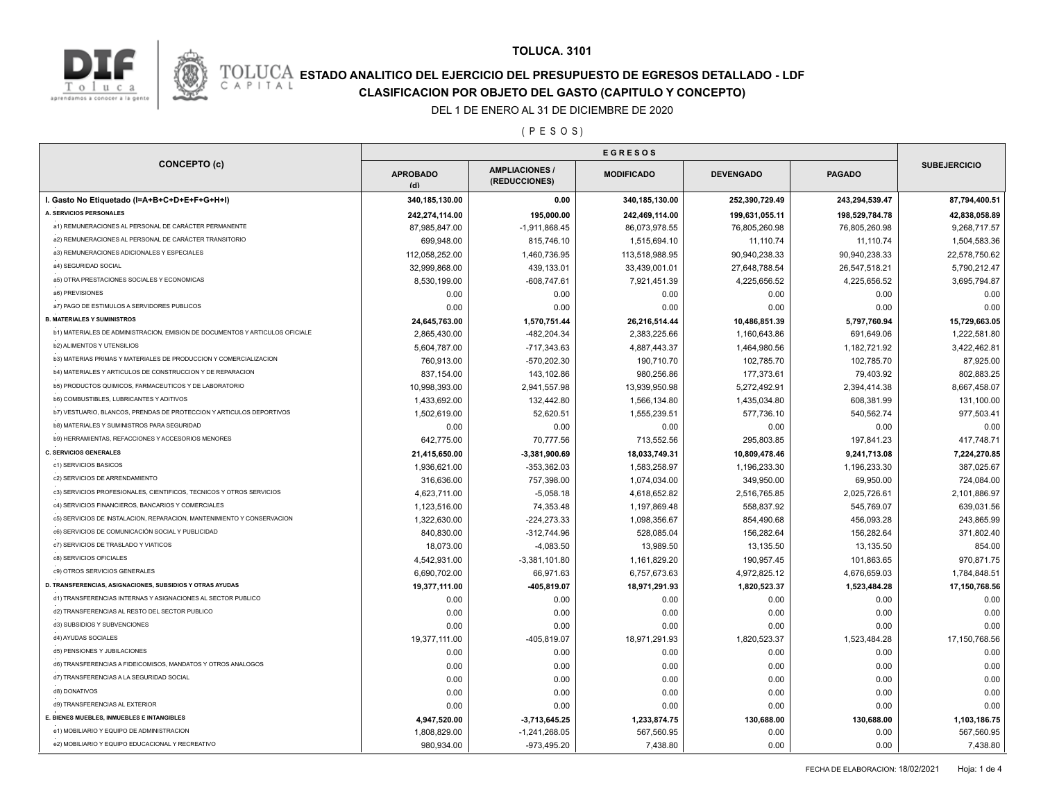



# **ESTADO ANALITICO DEL EJERCICIO DEL PRESUPUESTO DE EGRESOS DETALLADO - LDF**<br>CAPITAL CIASIFICACION POR OBJETO DEL GASTO (CAPITULO Y CONCEPTO) **CLASIFICACION POR OBJETO DEL GASTO (CAPITULO Y CONCEPTO)**

### DEL 1 DE ENERO AL 31 DE DICIEMBRE DE 2020

#### ( P E S O S )

| <b>CONCEPTO (c)</b>                                                          | <b>APROBADO</b><br>(d) | <b>AMPLIACIONES/</b><br>(REDUCCIONES) | <b>MODIFICADO</b> | <b>DEVENGADO</b> | <b>PAGADO</b>  | <b>SUBEJERCICIO</b> |
|------------------------------------------------------------------------------|------------------------|---------------------------------------|-------------------|------------------|----------------|---------------------|
| I. Gasto No Etiquetado (I=A+B+C+D+E+F+G+H+I)                                 | 340,185,130.00         | 0.00                                  | 340,185,130.00    | 252,390,729.49   | 243,294,539.47 | 87,794,400.51       |
| A. SERVICIOS PERSONALES                                                      | 242,274,114.00         | 195,000.00                            | 242,469,114.00    | 199,631,055.11   | 198,529,784.78 | 42,838,058.89       |
| a1) REMUNERACIONES AL PERSONAL DE CARÁCTER PERMANENTE                        | 87,985,847.00          | $-1,911,868.45$                       | 86,073,978.55     | 76,805,260.98    | 76,805,260.98  | 9,268,717.57        |
| a2) REMUNERACIONES AL PERSONAL DE CARÁCTER TRANSITORIO                       | 699,948.00             | 815,746.10                            | 1,515,694.10      | 11,110.74        | 11,110.74      | 1,504,583.36        |
| a3) REMUNERACIONES ADICIONALES Y ESPECIALES                                  | 112,058,252.00         | 1,460,736.95                          | 113,518,988.95    | 90,940,238.33    | 90,940,238.33  | 22,578,750.62       |
| a4) SEGURIDAD SOCIAL                                                         | 32.999.868.00          | 439.133.01                            | 33,439,001.01     | 27,648,788.54    | 26,547,518.21  | 5,790,212.47        |
| a5) OTRA PRESTACIONES SOCIALES Y ECONOMICAS                                  | 8,530,199.00           | $-608,747.61$                         | 7,921,451.39      | 4,225,656.52     | 4,225,656.52   | 3,695,794.87        |
| a6) PREVISIONES                                                              | 0.00                   | 0.00                                  | 0.00              | 0.00             | 0.00           | 0.00                |
| a7) PAGO DE ESTIMULOS A SERVIDORES PUBLICOS                                  | 0.00                   | 0.00                                  | 0.00              | 0.00             | 0.00           | 0.00                |
| <b>B. MATERIALES Y SUMINISTROS</b>                                           | 24,645,763.00          | 1,570,751.44                          | 26,216,514.44     | 10,486,851.39    | 5,797,760.94   | 15,729,663.05       |
| b1) MATERIALES DE ADMINISTRACION, EMISION DE DOCUMENTOS Y ARTICULOS OFICIALE | 2,865,430.00           | -482,204.34                           | 2,383,225.66      | 1,160,643.86     | 691,649.06     | 1,222,581.80        |
| <b>b2) ALIMENTOS Y UTENSILIOS</b>                                            | 5,604,787.00           | $-717,343.63$                         | 4,887,443.37      | 1,464,980.56     | 1,182,721.92   | 3,422,462.81        |
| b3) MATERIAS PRIMAS Y MATERIALES DE PRODUCCION Y COMERCIALIZACION            | 760,913.00             | -570,202.30                           | 190,710.70        | 102,785.70       | 102,785.70     | 87,925.00           |
| b4) MATERIALES Y ARTICULOS DE CONSTRUCCION Y DE REPARACION                   | 837,154.00             | 143,102.86                            | 980,256.86        | 177,373.61       | 79,403.92      | 802,883.25          |
| b5) PRODUCTOS QUIMICOS, FARMACEUTICOS Y DE LABORATORIO                       | 10,998,393.00          | 2,941,557.98                          | 13,939,950.98     | 5,272,492.91     | 2,394,414.38   | 8,667,458.07        |
| <b>b6) COMBUSTIBLES, LUBRICANTES Y ADITIVOS</b>                              | 1,433,692.00           | 132,442.80                            | 1,566,134.80      | 1,435,034.80     | 608,381.99     | 131,100.00          |
| b7) VESTUARIO, BLANCOS, PRENDAS DE PROTECCION Y ARTICULOS DEPORTIVOS         | 1,502,619.00           | 52,620.51                             | 1,555,239.51      | 577,736.10       | 540,562.74     | 977,503.41          |
| b8) MATERIALES Y SUMINISTROS PARA SEGURIDAD                                  | 0.00                   | 0.00                                  | 0.00              | 0.00             | 0.00           | 0.00                |
| b9) HERRAMIENTAS, REFACCIONES Y ACCESORIOS MENORES                           | 642,775.00             | 70,777.56                             | 713,552.56        | 295,803.85       | 197,841.23     | 417,748.71          |
| <b>C. SERVICIOS GENERALES</b>                                                | 21,415,650.00          | $-3,381,900.69$                       | 18,033,749.31     | 10,809,478.46    | 9,241,713.08   | 7,224,270.85        |
| c1) SERVICIOS BASICOS                                                        | 1,936,621.00           | $-353,362.03$                         | 1,583,258.97      | 1,196,233.30     | 1,196,233.30   | 387,025.67          |
| c2) SERVICIOS DE ARRENDAMIENTO                                               | 316,636.00             | 757,398.00                            | 1,074,034.00      | 349,950.00       | 69,950.00      | 724,084.00          |
| c3) SERVICIOS PROFESIONALES, CIENTIFICOS, TECNICOS Y OTROS SERVICIOS         | 4,623,711.00           | $-5,058.18$                           | 4,618,652.82      | 2,516,765.85     | 2,025,726.61   | 2,101,886.97        |
| c4) SERVICIOS FINANCIEROS, BANCARIOS Y COMERCIALES                           | 1,123,516.00           | 74,353.48                             | 1,197,869.48      | 558,837.92       | 545,769.07     | 639,031.56          |
| c5) SERVICIOS DE INSTALACION, REPARACION, MANTENIMIENTO Y CONSERVACION       | 1,322,630.00           | $-224, 273.33$                        | 1,098,356.67      | 854,490.68       | 456,093.28     | 243,865.99          |
| c6) SERVICIOS DE COMUNICACIÓN SOCIAL Y PUBLICIDAD                            | 840,830.00             | $-312,744.96$                         | 528,085.04        | 156,282.64       | 156,282.64     | 371,802.40          |
| c7) SERVICIOS DE TRASLADO Y VIATICOS                                         | 18,073.00              | $-4,083.50$                           | 13,989.50         | 13,135.50        | 13,135.50      | 854.00              |
| c8) SERVICIOS OFICIALES                                                      | 4,542,931.00           |                                       | 1,161,829.20      | 190,957.45       | 101,863.65     | 970,871.75          |
| c9) OTROS SERVICIOS GENERALES                                                | 6,690,702.00           | $-3,381,101.80$<br>66,971.63          | 6,757,673.63      | 4,972,825.12     | 4,676,659.03   | 1,784,848.51        |
| D. TRANSFERENCIAS, ASIGNACIONES, SUBSIDIOS Y OTRAS AYUDAS                    | 19,377,111.00          | -405,819.07                           | 18,971,291.93     | 1,820,523.37     |                | 17,150,768.56       |
| d1) TRANSFERENCIAS INTERNAS Y ASIGNACIONES AL SECTOR PUBLICO                 |                        |                                       |                   |                  | 1,523,484.28   |                     |
| d2) TRANSFERENCIAS AL RESTO DEL SECTOR PUBLICO                               | 0.00                   | 0.00                                  | 0.00              | 0.00             | 0.00           | 0.00                |
| d3) SUBSIDIOS Y SUBVENCIONES                                                 | 0.00                   | 0.00                                  | 0.00              | 0.00             | 0.00           | 0.00                |
| d4) AYUDAS SOCIALES                                                          | 0.00                   | 0.00                                  | 0.00              | 0.00             | 0.00           | 0.00                |
| d5) PENSIONES Y JUBILACIONES                                                 | 19,377,111.00          | -405,819.07                           | 18,971,291.93     | 1,820,523.37     | 1,523,484.28   | 17,150,768.56       |
|                                                                              | 0.00                   | 0.00                                  | 0.00              | 0.00             | 0.00           | 0.00                |
| d6) TRANSFERENCIAS A FIDEICOMISOS, MANDATOS Y OTROS ANALOGOS                 | 0.00                   | 0.00                                  | 0.00              | 0.00             | 0.00           | 0.00                |
| d7) TRANSFERENCIAS A LA SEGURIDAD SOCIAL                                     | 0.00                   | 0.00                                  | 0.00              | 0.00             | 0.00           | 0.00                |
| d8) DONATIVOS                                                                | 0.00                   | 0.00                                  | 0.00              | 0.00             | 0.00           | 0.00                |
| d9) TRANSFERENCIAS AL EXTERIOR                                               | 0.00                   | 0.00                                  | 0.00              | 0.00             | 0.00           | 0.00                |
| E. BIENES MUEBLES, INMUEBLES E INTANGIBLES                                   | 4,947,520.00           | $-3,713,645.25$                       | 1,233,874.75      | 130,688.00       | 130,688.00     | 1,103,186.75        |
| e1) MOBILIARIO Y EQUIPO DE ADMINISTRACION                                    | 1,808,829.00           | $-1,241,268.05$                       | 567,560.95        | 0.00             | 0.00           | 567,560.95          |
| e2) MOBILIARIO Y EQUIPO EDUCACIONAL Y RECREATIVO                             | 980,934.00             | -973,495.20                           | 7,438.80          | 0.00             | 0.00           | 7,438.80            |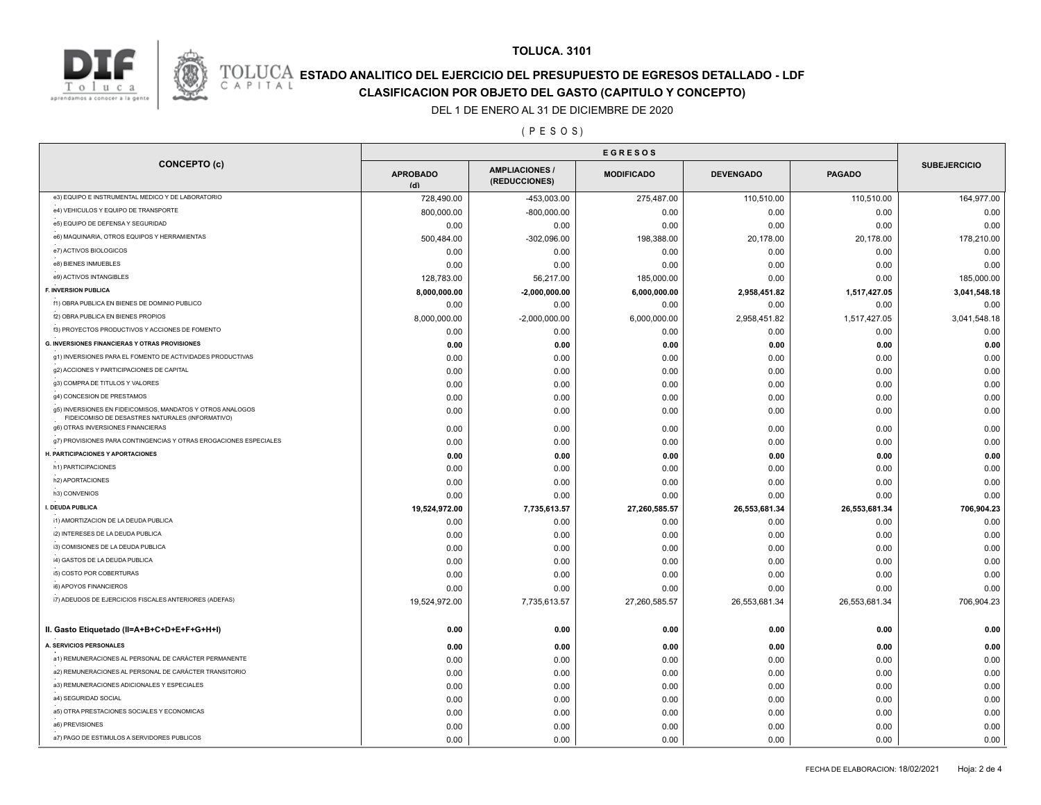

# **ESTADO ANALITICO DEL EJERCICIO DEL PRESUPUESTO DE EGRESOS DETALLADO - LDF**<br>CAPITAL CLASIFICACION POR OR IETO DEL GASTO (CARITILLO Y CONCERTO) **CLASIFICACION POR OBJETO DEL GASTO (CAPITULO Y CONCEPTO)**

### DEL 1 DE ENERO AL 31 DE DICIEMBRE DE 2020

#### ( P E S O S )

|                                                                                                                | <b>EGRESOS</b>         |                                        |                   |                  |               |                     |
|----------------------------------------------------------------------------------------------------------------|------------------------|----------------------------------------|-------------------|------------------|---------------|---------------------|
| <b>CONCEPTO (c)</b>                                                                                            | <b>APROBADO</b><br>(d) | <b>AMPLIACIONES /</b><br>(REDUCCIONES) | <b>MODIFICADO</b> | <b>DEVENGADO</b> | <b>PAGADO</b> | <b>SUBEJERCICIO</b> |
| e3) EQUIPO E INSTRUMENTAL MEDICO Y DE LABORATORIO                                                              | 728,490.00             | -453,003.00                            | 275,487.00        | 110,510.00       | 110,510.00    | 164,977.00          |
| e4) VEHICULOS Y EQUIPO DE TRANSPORTE                                                                           | 800,000.00             | $-800,000.00$                          | 0.00              | 0.00             | 0.00          | 0.00                |
| e5) EQUIPO DE DEFENSA Y SEGURIDAD                                                                              | 0.00                   | 0.00                                   | 0.00              | 0.00             | 0.00          | 0.00                |
| e6) MAQUINARIA, OTROS EQUIPOS Y HERRAMIENTAS                                                                   | 500,484.00             | $-302,096.00$                          | 198,388.00        | 20,178.00        | 20,178.00     | 178,210.00          |
| e7) ACTIVOS BIOLOGICOS                                                                                         | 0.00                   | 0.00                                   | 0.00              | 0.00             | 0.00          | 0.00                |
| e8) BIENES INMUEBLES                                                                                           | 0.00                   | 0.00                                   | 0.00              | 0.00             | 0.00          | 0.00                |
| e9) ACTIVOS INTANGIBLES                                                                                        | 128,783.00             | 56,217.00                              | 185,000.00        | 0.00             | 0.00          | 185,000.00          |
| F. INVERSION PUBLICA                                                                                           | 8,000,000.00           | $-2,000,000.00$                        | 6,000,000.00      | 2,958,451.82     | 1,517,427.05  | 3,041,548.18        |
| f1) OBRA PUBLICA EN BIENES DE DOMINIO PUBLICO                                                                  | 0.00                   | 0.00                                   | 0.00              | 0.00             | 0.00          | 0.00                |
| f2) OBRA PUBLICA EN BIENES PROPIOS                                                                             | 8,000,000.00           | $-2,000,000.00$                        | 6,000,000.00      | 2,958,451.82     | 1,517,427.05  | 3,041,548.18        |
| f3) PROYECTOS PRODUCTIVOS Y ACCIONES DE FOMENTO                                                                | 0.00                   | 0.00                                   | 0.00              | 0.00             | 0.00          | 0.00                |
| <b>G. INVERSIONES FINANCIERAS Y OTRAS PROVISIONES</b>                                                          | 0.00                   | 0.00                                   | 0.00              | 0.00             | 0.00          | 0.00                |
| g1) INVERSIONES PARA EL FOMENTO DE ACTIVIDADES PRODUCTIVAS                                                     | 0.00                   | 0.00                                   | 0.00              | 0.00             | 0.00          | 0.00                |
| g2) ACCIONES Y PARTICIPACIONES DE CAPITAL                                                                      | 0.00                   | 0.00                                   | 0.00              | 0.00             | 0.00          | 0.00                |
| g3) COMPRA DE TITULOS Y VALORES                                                                                | 0.00                   | 0.00                                   | 0.00              | 0.00             | 0.00          | 0.00                |
| g4) CONCESION DE PRESTAMOS                                                                                     | 0.00                   | 0.00                                   | 0.00              | 0.00             | 0.00          | 0.00                |
| g5) INVERSIONES EN FIDEICOMISOS, MANDATOS Y OTROS ANALOGOS<br>FIDEICOMISO DE DESASTRES NATURALES (INFORMATIVO) | 0.00                   | 0.00                                   | 0.00              | 0.00             | 0.00          | 0.00                |
| g6) OTRAS INVERSIONES FINANCIERAS                                                                              | 0.00                   | 0.00                                   | 0.00              | 0.00             | 0.00          | 0.00                |
| g7) PROVISIONES PARA CONTINGENCIAS Y OTRAS EROGACIONES ESPECIALES                                              | 0.00                   | 0.00                                   | 0.00              | 0.00             | 0.00          | 0.00                |
| H. PARTICIPACIONES Y APORTACIONES                                                                              | 0.00                   | 0.00                                   | 0.00              | 0.00             | 0.00          | 0.00                |
| h1) PARTICIPACIONES                                                                                            | 0.00                   | 0.00                                   | 0.00              | 0.00             | 0.00          | 0.00                |
| h2) APORTACIONES                                                                                               | 0.00                   | 0.00                                   | 0.00              | 0.00             | 0.00          | 0.00                |
| h3) CONVENIOS                                                                                                  | 0.00                   | 0.00                                   | 0.00              | 0.00             | 0.00          | 0.00                |
| I. DEUDA PUBLICA                                                                                               | 19,524,972.00          | 7,735,613.57                           | 27,260,585.57     | 26,553,681.34    | 26,553,681.34 | 706,904.23          |
| i1) AMORTIZACION DE LA DEUDA PUBLICA                                                                           | 0.00                   | 0.00                                   | 0.00              | 0.00             | 0.00          | 0.00                |
| i2) INTERESES DE LA DEUDA PUBLICA                                                                              | 0.00                   | 0.00                                   | 0.00              | 0.00             | 0.00          | 0.00                |
| i3) COMISIONES DE LA DEUDA PUBLICA                                                                             | 0.00                   | 0.00                                   | 0.00              | 0.00             | 0.00          | 0.00                |
| i4) GASTOS DE LA DEUDA PUBLICA                                                                                 | 0.00                   | 0.00                                   | 0.00              | 0.00             | 0.00          | 0.00                |
| i5) COSTO POR COBERTURAS                                                                                       | 0.00                   | 0.00                                   | 0.00              | 0.00             | 0.00          | 0.00                |
| i6) APOYOS FINANCIEROS                                                                                         | 0.00                   | 0.00                                   | 0.00              | 0.00             | 0.00          | 0.00                |
| i7) ADEUDOS DE EJERCICIOS FISCALES ANTERIORES (ADEFAS)                                                         | 19,524,972.00          | 7,735,613.57                           | 27,260,585.57     | 26,553,681.34    | 26,553,681.34 | 706,904.23          |
|                                                                                                                |                        |                                        |                   |                  |               |                     |
| II. Gasto Etiquetado (II=A+B+C+D+E+F+G+H+I)                                                                    | 0.00                   | 0.00                                   | 0.00              | 0.00             | 0.00          | 0.00                |
| A. SERVICIOS PERSONALES                                                                                        | 0.00                   | 0.00                                   | 0.00              | 0.00             | 0.00          | 0.00                |
| a1) REMUNERACIONES AL PERSONAL DE CARÁCTER PERMANENTE                                                          | 0.00                   | 0.00                                   | 0.00              | 0.00             | 0.00          | 0.00                |
| a2) REMUNERACIONES AL PERSONAL DE CARÁCTER TRANSITORIO                                                         | 0.00                   | 0.00                                   | 0.00              | 0.00             | 0.00          | 0.00                |
| a3) REMUNERACIONES ADICIONALES Y ESPECIALES                                                                    | 0.00                   | 0.00                                   | 0.00              | 0.00             | 0.00          | 0.00                |
| a4) SEGURIDAD SOCIAL                                                                                           | 0.00                   | 0.00                                   | 0.00              | 0.00             | 0.00          | 0.00                |
| a5) OTRA PRESTACIONES SOCIALES Y ECONOMICAS                                                                    | 0.00                   | 0.00                                   | 0.00              | 0.00             | 0.00          | 0.00                |
| a6) PREVISIONES                                                                                                | 0.00                   | 0.00                                   | 0.00              | 0.00             | 0.00          | 0.00                |
| a7) PAGO DE ESTIMULOS A SERVIDORES PUBLICOS                                                                    | 0.00                   | 0.00                                   | 0.00              | 0.00             | 0.00          | 0.00                |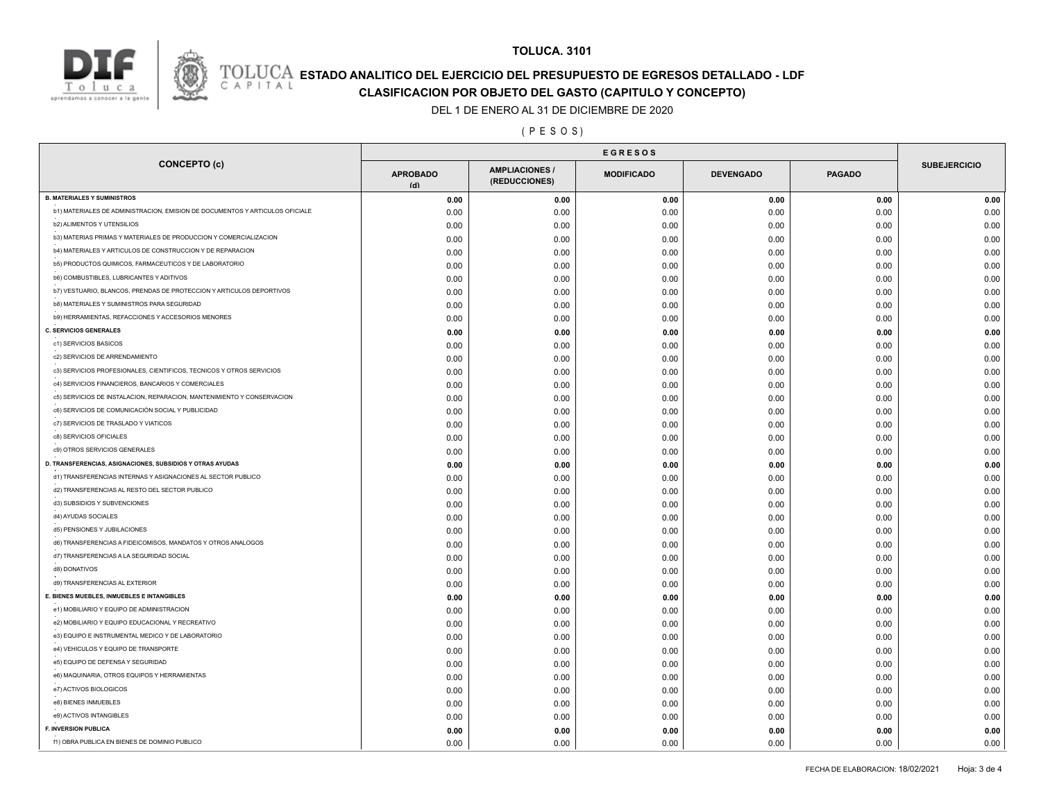



# **ESTADO ANALITICO DEL EJERCICIO DEL PRESUPUESTO DE EGRESOS DETALLADO - LDF**<br>CAPITAL CLASIFICACION POR OR IETO DEL GASTO (CARITILLO Y CONCERTO) **CLASIFICACION POR OBJETO DEL GASTO (CAPITULO Y CONCEPTO)**

#### DEL 1 DE ENERO AL 31 DE DICIEMBRE DE 2020

#### ( P E S O S )

| <b>CONCEPTO (c)</b>                                                          | <b>APROBADO</b><br>(d) | <b>AMPLIACIONES/</b><br>(REDUCCIONES) | <b>MODIFICADO</b> | <b>DEVENGADO</b> | <b>PAGADO</b> | <b>SUBEJERCICIO</b> |
|------------------------------------------------------------------------------|------------------------|---------------------------------------|-------------------|------------------|---------------|---------------------|
| <b>B. MATERIALES Y SUMINISTROS</b>                                           | 0.00                   | 0.00                                  | 0.00              | 0.00             | 0.00          | 0.00                |
| b1) MATERIALES DE ADMINISTRACION, EMISION DE DOCUMENTOS Y ARTICULOS OFICIALE | 0.00                   | 0.00                                  | 0.00              | 0.00             | 0.00          | 0.00                |
| <b>b2) ALIMENTOS Y UTENSILIOS</b>                                            | 0.00                   | 0.00                                  | 0.00              | 0.00             | 0.00          | 0.00                |
| b3) MATERIAS PRIMAS Y MATERIALES DE PRODUCCION Y COMERCIALIZACION            | 0.00                   | 0.00                                  | 0.00              | 0.00             | 0.00          | 0.00                |
| b4) MATERIALES Y ARTICULOS DE CONSTRUCCION Y DE REPARACION                   | 0.00                   | 0.00                                  | 0.00              | 0.00             | 0.00          | 0.00                |
| b5) PRODUCTOS QUIMICOS, FARMACEUTICOS Y DE LABORATORIO                       | 0.00                   | 0.00                                  | 0.00              | 0.00             | 0.00          | 0.00                |
| <b>b6) COMBUSTIBLES, LUBRICANTES Y ADITIVOS</b>                              | 0.00                   | 0.00                                  | 0.00              | 0.00             | 0.00          | 0.00                |
| b7) VESTUARIO, BLANCOS, PRENDAS DE PROTECCION Y ARTICULOS DEPORTIVOS         | 0.00                   | 0.00                                  | 0.00              | 0.00             | 0.00          | 0.00                |
| b8) MATERIALES Y SUMINISTROS PARA SEGURIDAD                                  | 0.00                   | 0.00                                  | 0.00              | 0.00             | 0.00          | 0.00                |
| b9) HERRAMIENTAS, REFACCIONES Y ACCESORIOS MENORES                           | 0.00                   | 0.00                                  | 0.00              | 0.00             | 0.00          | 0.00                |
| <b>C. SERVICIOS GENERALES</b>                                                | 0.00                   | 0.00                                  | 0.00              | 0.00             | 0.00          | 0.00                |
| c1) SERVICIOS BASICOS                                                        | 0.00                   | 0.00                                  | 0.00              | 0.00             | 0.00          | 0.00                |
| c2) SERVICIOS DE ARRENDAMIENTO                                               | 0.00                   | 0.00                                  | 0.00              | 0.00             | 0.00          | 0.00                |
| c3) SERVICIOS PROFESIONALES, CIENTIFICOS, TECNICOS Y OTROS SERVICIOS         | 0.00                   | 0.00                                  | 0.00              | 0.00             | 0.00          | 0.00                |
| c4) SERVICIOS FINANCIEROS, BANCARIOS Y COMERCIALES                           | 0.00                   | 0.00                                  | 0.00              | 0.00             | 0.00          | 0.00                |
| c5) SERVICIOS DE INSTALACION, REPARACION, MANTENIMIENTO Y CONSERVACION       | 0.00                   | 0.00                                  | 0.00              | 0.00             | 0.00          | 0.00                |
| c6) SERVICIOS DE COMUNICACIÓN SOCIAL Y PUBLICIDAD                            | 0.00                   | 0.00                                  | 0.00              | 0.00             | 0.00          | 0.00                |
| c7) SERVICIOS DE TRASLADO Y VIATICOS                                         | 0.00                   | 0.00                                  | 0.00              | 0.00             | 0.00          | 0.00                |
| c8) SERVICIOS OFICIALES                                                      | 0.00                   | 0.00                                  | 0.00              | 0.00             | 0.00          | 0.00                |
| c9) OTROS SERVICIOS GENERALES                                                | 0.00                   | 0.00                                  | 0.00              | 0.00             | 0.00          | 0.00                |
| D. TRANSFERENCIAS, ASIGNACIONES, SUBSIDIOS Y OTRAS AYUDAS                    | 0.00                   | 0.00                                  | 0.00              | 0.00             | 0.00          | 0.00                |
| d1) TRANSFERENCIAS INTERNAS Y ASIGNACIONES AL SECTOR PUBLICO                 | 0.00                   | 0.00                                  | 0.00              | 0.00             | 0.00          | 0.00                |
| d2) TRANSFERENCIAS AL RESTO DEL SECTOR PUBLICO                               | 0.00                   | 0.00                                  | 0.00              | 0.00             | 0.00          | 0.00                |
| d3) SUBSIDIOS Y SUBVENCIONES                                                 | 0.00                   | 0.00                                  | 0.00              | 0.00             | 0.00          | 0.00                |
| d4) AYUDAS SOCIALES                                                          | 0.00                   | 0.00                                  | 0.00              | 0.00             | 0.00          | 0.00                |
| d5) PENSIONES Y JUBILACIONES                                                 | 0.00                   | 0.00                                  | 0.00              | 0.00             | 0.00          | 0.00                |
| d6) TRANSFERENCIAS A FIDEICOMISOS, MANDATOS Y OTROS ANALOGOS                 | 0.00                   | 0.00                                  | 0.00              | 0.00             | 0.00          | 0.00                |
| d7) TRANSFERENCIAS A LA SEGURIDAD SOCIAL                                     | 0.00                   | 0.00                                  | 0.00              | 0.00             | 0.00          | 0.00                |
| d8) DONATIVOS                                                                | 0.00                   | 0.00                                  | 0.00              | 0.00             | 0.00          | 0.00                |
| d9) TRANSFERENCIAS AL EXTERIOR                                               | 0.00                   | 0.00                                  | 0.00              | 0.00             | 0.00          | 0.00                |
| E. BIENES MUEBLES, INMUEBLES E INTANGIBLES                                   | 0.00                   | 0.00                                  | 0.00              | 0.00             | 0.00          | 0.00                |
| e1) MOBILIARIO Y EQUIPO DE ADMINISTRACION                                    | 0.00                   | 0.00                                  | 0.00              | 0.00             | 0.00          | 0.00                |
| e2) MOBILIARIO Y EQUIPO EDUCACIONAL Y RECREATIVO                             | 0.00                   | 0.00                                  | 0.00              | 0.00             | 0.00          | 0.00                |
| e3) EQUIPO E INSTRUMENTAL MEDICO Y DE LABORATORIO                            | 0.00                   | 0.00                                  | 0.00              | 0.00             | 0.00          | 0.00                |
| e4) VEHICULOS Y EQUIPO DE TRANSPORTE                                         | 0.00                   | 0.00                                  | 0.00              | 0.00             | 0.00          | 0.00                |
| e5) EQUIPO DE DEFENSA Y SEGURIDAD                                            | 0.00                   | 0.00                                  | 0.00              | 0.00             | 0.00          | 0.00                |
| e6) MAQUINARIA, OTROS EQUIPOS Y HERRAMIENTAS                                 | 0.00                   | 0.00                                  |                   |                  | 0.00          | 0.00                |
| e7) ACTIVOS BIOLOGICOS                                                       | 0.00                   | 0.00                                  | 0.00<br>0.00      | 0.00<br>0.00     | 0.00          | 0.00                |
| e8) BIENES INMUEBLES                                                         |                        |                                       |                   |                  |               |                     |
| e9) ACTIVOS INTANGIBLES                                                      | 0.00                   | 0.00                                  | 0.00              | 0.00             | 0.00          | 0.00                |
| F. INVERSION PUBLICA                                                         | 0.00                   | 0.00                                  | 0.00              | 0.00             | 0.00          | 0.00                |
| f1) OBRA PUBLICA EN BIENES DE DOMINIO PUBLICO                                | 0.00                   | 0.00                                  | 0.00              | 0.00             | 0.00          | 0.00                |
|                                                                              | 0.00                   | 0.00                                  | 0.00              | 0.00             | 0.00          | 0.00                |